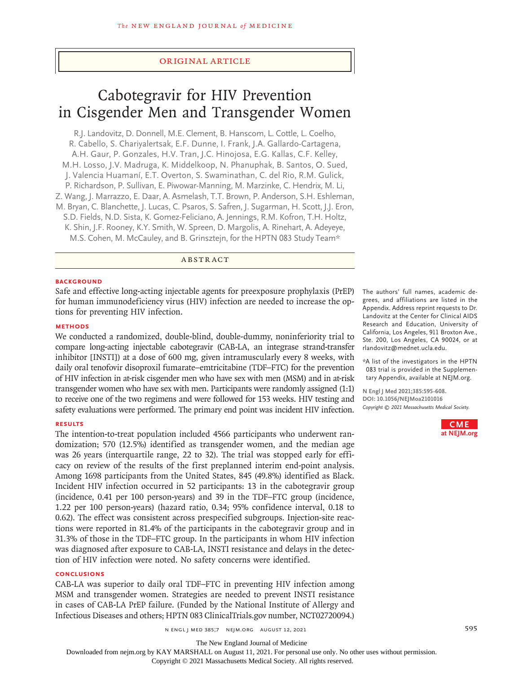# Original Article

# Cabotegravir for HIV Prevention in Cisgender Men and Transgender Women

R.J. Landovitz, D. Donnell, M.E. Clement, B. Hanscom, L. Cottle, L. Coelho, R. Cabello, S. Chariyalertsak, E.F. Dunne, I. Frank, J.A. Gallardo‑Cartagena, A.H. Gaur, P. Gonzales, H.V. Tran, J.C. Hinojosa, E.G. Kallas, C.F. Kelley, M.H. Losso, J.V. Madruga, K. Middelkoop, N. Phanuphak, B. Santos, O. Sued, J. Valencia Huamaní, E.T. Overton, S. Swaminathan, C. del Rio, R.M. Gulick, P. Richardson, P. Sullivan, E. Piwowar‑Manning, M. Marzinke, C. Hendrix, M. Li, Z. Wang, J. Marrazzo, E. Daar, A. Asmelash, T.T. Brown, P. Anderson, S.H. Eshleman, M. Bryan, C. Blanchette, J. Lucas, C. Psaros, S. Safren, J. Sugarman, H. Scott, J.J. Eron, S.D. Fields, N.D. Sista, K. Gomez‑Feliciano, A. Jennings, R.M. Kofron, T.H. Holtz, K. Shin, J.F. Rooney, K.Y. Smith, W. Spreen, D. Margolis, A. Rinehart, A. Adeyeye, M.S. Cohen, M. McCauley, and B. Grinsztejn, for the HPTN 083 Study Team\*

ABSTRACT

## **BACKGROUND**

Safe and effective long-acting injectable agents for preexposure prophylaxis (PrEP) for human immunodeficiency virus (HIV) infection are needed to increase the options for preventing HIV infection.

### **METHODS**

We conducted a randomized, double-blind, double-dummy, noninferiority trial to compare long-acting injectable cabotegravir (CAB-LA, an integrase strand-transfer inhibitor [INSTI]) at a dose of 600 mg, given intramuscularly every 8 weeks, with daily oral tenofovir disoproxil fumarate–emtricitabine (TDF–FTC) for the prevention of HIV infection in at-risk cisgender men who have sex with men (MSM) and in at-risk transgender women who have sex with men. Participants were randomly assigned (1:1) to receive one of the two regimens and were followed for 153 weeks. HIV testing and safety evaluations were performed. The primary end point was incident HIV infection.

#### **RESULTS**

The intention-to-treat population included 4566 participants who underwent randomization; 570 (12.5%) identified as transgender women, and the median age was 26 years (interquartile range, 22 to 32). The trial was stopped early for efficacy on review of the results of the first preplanned interim end-point analysis. Among 1698 participants from the United States, 845 (49.8%) identified as Black. Incident HIV infection occurred in 52 participants: 13 in the cabotegravir group (incidence, 0.41 per 100 person-years) and 39 in the TDF–FTC group (incidence, 1.22 per 100 person-years) (hazard ratio, 0.34; 95% confidence interval, 0.18 to 0.62). The effect was consistent across prespecified subgroups. Injection-site reactions were reported in 81.4% of the participants in the cabotegravir group and in 31.3% of those in the TDF–FTC group. In the participants in whom HIV infection was diagnosed after exposure to CAB-LA, INSTI resistance and delays in the detection of HIV infection were noted. No safety concerns were identified.

#### **CONCLUSIONS**

CAB-LA was superior to daily oral TDF–FTC in preventing HIV infection among MSM and transgender women. Strategies are needed to prevent INSTI resistance in cases of CAB-LA PrEP failure. (Funded by the National Institute of Allergy and Infectious Diseases and others; HPTN 083 ClinicalTrials.gov number, NCT02720094.)

The authors' full names, academic degrees, and affiliations are listed in the Appendix. Address reprint requests to Dr. Landovitz at the Center for Clinical AIDS Research and Education, University of California, Los Angeles, 911 Broxton Ave., Ste. 200, Los Angeles, CA 90024, or at rlandovitz@mednet.ucla.edu.

\*A list of the investigators in the HPTN 083 trial is provided in the Supplementary Appendix, available at NEJM.org.

**N Engl J Med 2021;385:595-608. DOI: 10.1056/NEJMoa2101016** *Copyright © 2021 Massachusetts Medical Society.*



The New England Journal of Medicine

Downloaded from nejm.org by KAY MARSHALL on August 11, 2021. For personal use only. No other uses without permission.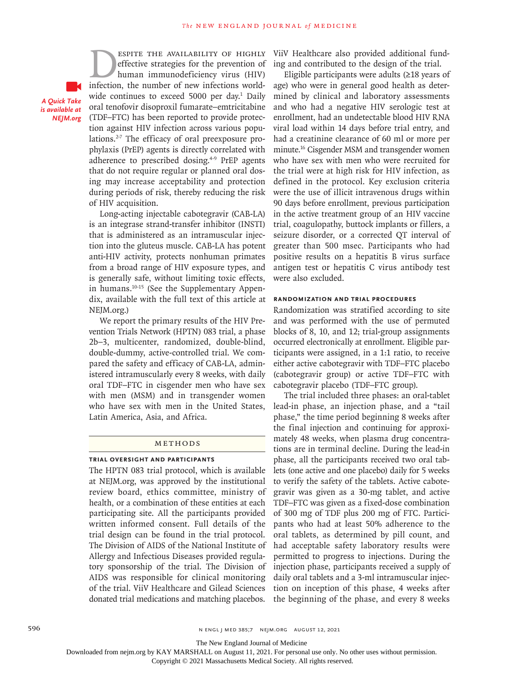*A Quick Take is available at NEJM.org*

ESPITE THE AVAILABILITY OF HIGHLY<br>effective strategies for the prevention of<br>human immunodeficiency virus (HIV)<br>infection, the number of new infections worldeffective strategies for the prevention of human immunodeficiency virus (HIV) infection, the number of new infections worldwide continues to exceed 5000 per day.<sup>1</sup> Daily oral tenofovir disoproxil fumarate–emtricitabine (TDF–FTC) has been reported to provide protection against HIV infection across various populations.<sup>2-7</sup> The efficacy of oral preexposure prophylaxis (PrEP) agents is directly correlated with adherence to prescribed dosing.<sup>4-9</sup> PrEP agents that do not require regular or planned oral dosing may increase acceptability and protection during periods of risk, thereby reducing the risk of HIV acquisition.

Long-acting injectable cabotegravir (CAB-LA) is an integrase strand-transfer inhibitor (INSTI) that is administered as an intramuscular injection into the gluteus muscle. CAB-LA has potent anti-HIV activity, protects nonhuman primates from a broad range of HIV exposure types, and is generally safe, without limiting toxic effects, in humans.10-15 (See the Supplementary Appendix, available with the full text of this article at NEJM.org.)

We report the primary results of the HIV Prevention Trials Network (HPTN) 083 trial, a phase 2b–3, multicenter, randomized, double-blind, double-dummy, active-controlled trial. We compared the safety and efficacy of CAB-LA, administered intramuscularly every 8 weeks, with daily oral TDF–FTC in cisgender men who have sex with men (MSM) and in transgender women who have sex with men in the United States, Latin America, Asia, and Africa.

#### METHODS

#### **Trial Oversight and Participants**

The HPTN 083 trial protocol, which is available at NEJM.org, was approved by the institutional review board, ethics committee, ministry of health, or a combination of these entities at each participating site. All the participants provided written informed consent. Full details of the trial design can be found in the trial protocol. The Division of AIDS of the National Institute of Allergy and Infectious Diseases provided regulatory sponsorship of the trial. The Division of AIDS was responsible for clinical monitoring of the trial. ViiV Healthcare and Gilead Sciences donated trial medications and matching placebos.

ViiV Healthcare also provided additional funding and contributed to the design of the trial.

Eligible participants were adults (≥18 years of age) who were in general good health as determined by clinical and laboratory assessments and who had a negative HIV serologic test at enrollment, had an undetectable blood HIV RNA viral load within 14 days before trial entry, and had a creatinine clearance of 60 ml or more per minute.16 Cisgender MSM and transgender women who have sex with men who were recruited for the trial were at high risk for HIV infection, as defined in the protocol. Key exclusion criteria were the use of illicit intravenous drugs within 90 days before enrollment, previous participation in the active treatment group of an HIV vaccine trial, coagulopathy, buttock implants or fillers, a seizure disorder, or a corrected QT interval of greater than 500 msec. Participants who had positive results on a hepatitis B virus surface antigen test or hepatitis C virus antibody test were also excluded.

# **Randomization and Trial Procedures**

Randomization was stratified according to site and was performed with the use of permuted blocks of 8, 10, and 12; trial-group assignments occurred electronically at enrollment. Eligible participants were assigned, in a 1:1 ratio, to receive either active cabotegravir with TDF–FTC placebo (cabotegravir group) or active TDF–FTC with cabotegravir placebo (TDF–FTC group).

The trial included three phases: an oral-tablet lead-in phase, an injection phase, and a "tail phase," the time period beginning 8 weeks after the final injection and continuing for approximately 48 weeks, when plasma drug concentrations are in terminal decline. During the lead-in phase, all the participants received two oral tablets (one active and one placebo) daily for 5 weeks to verify the safety of the tablets. Active cabotegravir was given as a 30-mg tablet, and active TDF–FTC was given as a fixed-dose combination of 300 mg of TDF plus 200 mg of FTC. Participants who had at least 50% adherence to the oral tablets, as determined by pill count, and had acceptable safety laboratory results were permitted to progress to injections. During the injection phase, participants received a supply of daily oral tablets and a 3-ml intramuscular injection on inception of this phase, 4 weeks after the beginning of the phase, and every 8 weeks

The New England Journal of Medicine

Downloaded from nejm.org by KAY MARSHALL on August 11, 2021. For personal use only. No other uses without permission.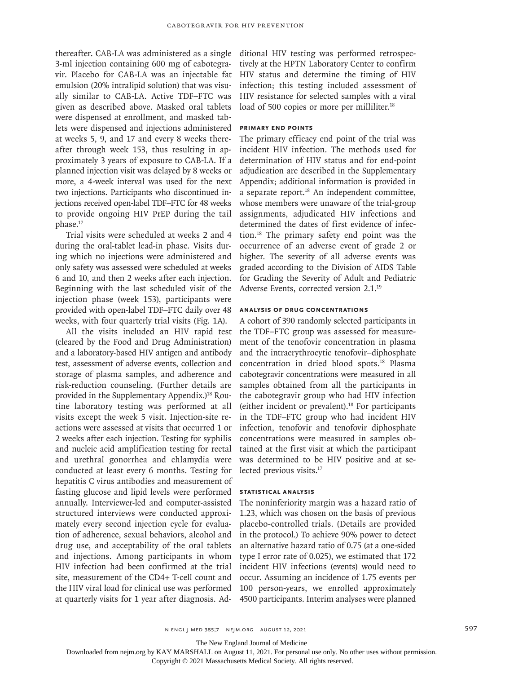thereafter. CAB-LA was administered as a single 3-ml injection containing 600 mg of cabotegravir. Placebo for CAB-LA was an injectable fat emulsion (20% intralipid solution) that was visually similar to CAB-LA. Active TDF–FTC was given as described above. Masked oral tablets were dispensed at enrollment, and masked tablets were dispensed and injections administered at weeks 5, 9, and 17 and every 8 weeks thereafter through week 153, thus resulting in approximately 3 years of exposure to CAB-LA. If a planned injection visit was delayed by 8 weeks or more, a 4-week interval was used for the next two injections. Participants who discontinued injections received open-label TDF–FTC for 48 weeks to provide ongoing HIV PrEP during the tail phase.<sup>17</sup>

Trial visits were scheduled at weeks 2 and 4 during the oral-tablet lead-in phase. Visits during which no injections were administered and only safety was assessed were scheduled at weeks 6 and 10, and then 2 weeks after each injection. Beginning with the last scheduled visit of the injection phase (week 153), participants were provided with open-label TDF–FTC daily over 48 weeks, with four quarterly trial visits (Fig. 1A).

All the visits included an HIV rapid test (cleared by the Food and Drug Administration) and a laboratory-based HIV antigen and antibody test, assessment of adverse events, collection and storage of plasma samples, and adherence and risk-reduction counseling. (Further details are provided in the Supplementary Appendix.)<sup>18</sup> Routine laboratory testing was performed at all visits except the week 5 visit. Injection-site reactions were assessed at visits that occurred 1 or 2 weeks after each injection. Testing for syphilis and nucleic acid amplification testing for rectal and urethral gonorrhea and chlamydia were conducted at least every 6 months. Testing for hepatitis C virus antibodies and measurement of fasting glucose and lipid levels were performed annually. Interviewer-led and computer-assisted structured interviews were conducted approximately every second injection cycle for evaluation of adherence, sexual behaviors, alcohol and drug use, and acceptability of the oral tablets and injections. Among participants in whom HIV infection had been confirmed at the trial site, measurement of the CD4+ T-cell count and the HIV viral load for clinical use was performed at quarterly visits for 1 year after diagnosis. Ad-

ditional HIV testing was performed retrospectively at the HPTN Laboratory Center to confirm HIV status and determine the timing of HIV infection; this testing included assessment of HIV resistance for selected samples with a viral load of 500 copies or more per milliliter.<sup>18</sup>

## **Primary End Points**

The primary efficacy end point of the trial was incident HIV infection. The methods used for determination of HIV status and for end-point adjudication are described in the Supplementary Appendix; additional information is provided in a separate report.18 An independent committee, whose members were unaware of the trial-group assignments, adjudicated HIV infections and determined the dates of first evidence of infection.18 The primary safety end point was the occurrence of an adverse event of grade 2 or higher. The severity of all adverse events was graded according to the Division of AIDS Table for Grading the Severity of Adult and Pediatric Adverse Events, corrected version 2.1.19

# **Analysis of Drug Concentrations**

A cohort of 390 randomly selected participants in the TDF–FTC group was assessed for measurement of the tenofovir concentration in plasma and the intraerythrocytic tenofovir–diphosphate concentration in dried blood spots.18 Plasma cabotegravir concentrations were measured in all samples obtained from all the participants in the cabotegravir group who had HIV infection (either incident or prevalent).18 For participants in the TDF–FTC group who had incident HIV infection, tenofovir and tenofovir diphosphate concentrations were measured in samples obtained at the first visit at which the participant was determined to be HIV positive and at selected previous visits.17

#### **Statistical Analysis**

The noninferiority margin was a hazard ratio of 1.23, which was chosen on the basis of previous placebo-controlled trials. (Details are provided in the protocol.) To achieve 90% power to detect an alternative hazard ratio of 0.75 (at a one-sided type I error rate of 0.025), we estimated that 172 incident HIV infections (events) would need to occur. Assuming an incidence of 1.75 events per 100 person-years, we enrolled approximately 4500 participants. Interim analyses were planned

The New England Journal of Medicine

Downloaded from nejm.org by KAY MARSHALL on August 11, 2021. For personal use only. No other uses without permission.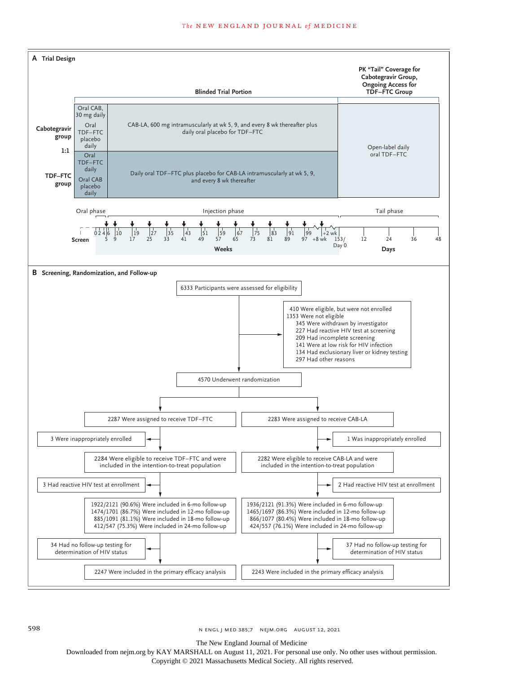

The New England Journal of Medicine

Downloaded from nejm.org by KAY MARSHALL on August 11, 2021. For personal use only. No other uses without permission.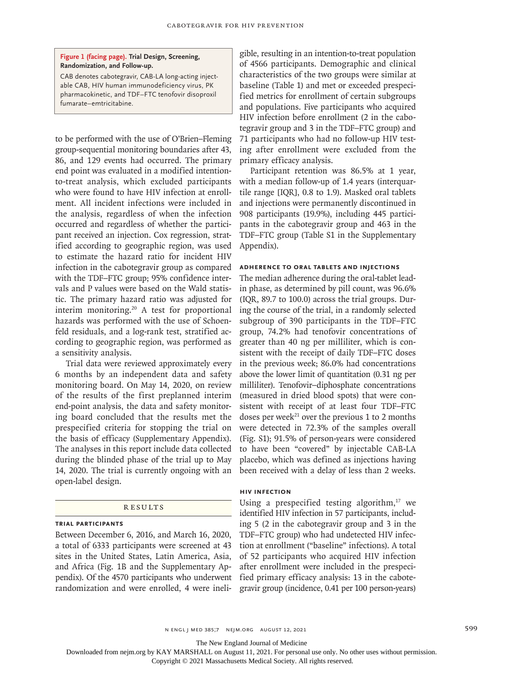#### **Figure 1 (facing page). Trial Design, Screening, Randomization, and Follow-up.**

CAB denotes cabotegravir, CAB-LA long-acting injectable CAB, HIV human immunodeficiency virus, PK pharmacokinetic, and TDF–FTC tenofovir disoproxil fumarate–emtricitabine.

to be performed with the use of O'Brien–Fleming group-sequential monitoring boundaries after 43, 86, and 129 events had occurred. The primary end point was evaluated in a modified intentionto-treat analysis, which excluded participants who were found to have HIV infection at enrollment. All incident infections were included in the analysis, regardless of when the infection occurred and regardless of whether the participant received an injection. Cox regression, stratified according to geographic region, was used to estimate the hazard ratio for incident HIV infection in the cabotegravir group as compared with the TDF–FTC group; 95% confidence intervals and P values were based on the Wald statistic. The primary hazard ratio was adjusted for interim monitoring.20 A test for proportional hazards was performed with the use of Schoenfeld residuals, and a log-rank test, stratified according to geographic region, was performed as a sensitivity analysis.

Trial data were reviewed approximately every 6 months by an independent data and safety monitoring board. On May 14, 2020, on review of the results of the first preplanned interim end-point analysis, the data and safety monitoring board concluded that the results met the prespecified criteria for stopping the trial on the basis of efficacy (Supplementary Appendix). The analyses in this report include data collected during the blinded phase of the trial up to May 14, 2020. The trial is currently ongoing with an open-label design.

#### **RESULTS**

#### **Trial Participants**

Between December 6, 2016, and March 16, 2020, a total of 6333 participants were screened at 43 sites in the United States, Latin America, Asia, and Africa (Fig. 1B and the Supplementary Appendix). Of the 4570 participants who underwent randomization and were enrolled, 4 were ineligible, resulting in an intention-to-treat population of 4566 participants. Demographic and clinical characteristics of the two groups were similar at baseline (Table 1) and met or exceeded prespecified metrics for enrollment of certain subgroups and populations. Five participants who acquired HIV infection before enrollment (2 in the cabotegravir group and 3 in the TDF–FTC group) and 71 participants who had no follow-up HIV testing after enrollment were excluded from the primary efficacy analysis.

Participant retention was 86.5% at 1 year, with a median follow-up of 1.4 years (interquartile range [IQR], 0.8 to 1.9). Masked oral tablets and injections were permanently discontinued in 908 participants (19.9%), including 445 participants in the cabotegravir group and 463 in the TDF–FTC group (Table S1 in the Supplementary Appendix).

# **Adherence to Oral Tablets and Injections**

The median adherence during the oral-tablet leadin phase, as determined by pill count, was 96.6% (IQR, 89.7 to 100.0) across the trial groups. During the course of the trial, in a randomly selected subgroup of 390 participants in the TDF–FTC group, 74.2% had tenofovir concentrations of greater than 40 ng per milliliter, which is consistent with the receipt of daily TDF–FTC doses in the previous week; 86.0% had concentrations above the lower limit of quantitation (0.31 ng per milliliter). Tenofovir–diphosphate concentrations (measured in dried blood spots) that were consistent with receipt of at least four TDF–FTC doses per week<sup>21</sup> over the previous 1 to 2 months were detected in 72.3% of the samples overall (Fig. S1); 91.5% of person-years were considered to have been "covered" by injectable CAB-LA placebo, which was defined as injections having been received with a delay of less than 2 weeks.

# **HIV Infection**

Using a prespecified testing algorithm, $17$  we identified HIV infection in 57 participants, including 5 (2 in the cabotegravir group and 3 in the TDF–FTC group) who had undetected HIV infection at enrollment ("baseline" infections). A total of 52 participants who acquired HIV infection after enrollment were included in the prespecified primary efficacy analysis: 13 in the cabotegravir group (incidence, 0.41 per 100 person-years)

n engl j med 385;7 nejm.org August 12, 2021 599

The New England Journal of Medicine

Downloaded from nejm.org by KAY MARSHALL on August 11, 2021. For personal use only. No other uses without permission.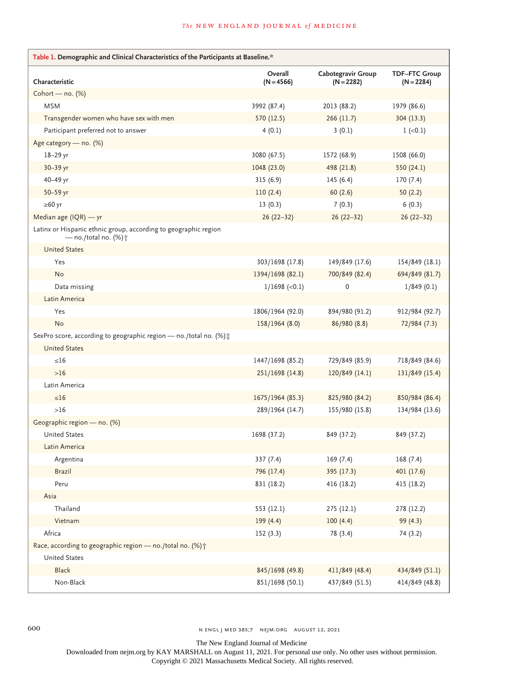# **The NEW ENGLAND JOURNAL of MEDICINE**

| Table 1. Demographic and Clinical Characteristics of the Participants at Baseline.*               |                         |                                    |                                      |  |  |
|---------------------------------------------------------------------------------------------------|-------------------------|------------------------------------|--------------------------------------|--|--|
| Characteristic                                                                                    | Overall<br>$(N = 4566)$ | Cabotegravir Group<br>$(N = 2282)$ | <b>TDF-FTC Group</b><br>$(N = 2284)$ |  |  |
| Cohort - no. $(%)$                                                                                |                         |                                    |                                      |  |  |
| <b>MSM</b>                                                                                        | 3992 (87.4)             | 2013 (88.2)                        | 1979 (86.6)                          |  |  |
| Transgender women who have sex with men                                                           | 570 (12.5)              | 266(11.7)                          | 304(13.3)                            |  |  |
| Participant preferred not to answer                                                               | 4(0.1)                  | 3(0.1)                             | $1 (-0.1)$                           |  |  |
| Age category - no. (%)                                                                            |                         |                                    |                                      |  |  |
| 18-29 yr                                                                                          | 3080 (67.5)             | 1572 (68.9)                        | 1508 (66.0)                          |  |  |
| 30-39 yr                                                                                          | 1048 (23.0)             | 498 (21.8)                         | 550 (24.1)                           |  |  |
| 40-49 yr                                                                                          | 315(6.9)                | 145(6.4)                           | 170(7.4)                             |  |  |
| 50-59 yr                                                                                          | 110(2.4)                | 60(2.6)                            | 50(2.2)                              |  |  |
| $\geq 60$ yr                                                                                      | 13(0.3)                 | 7(0.3)                             | 6(0.3)                               |  |  |
| Median age (IQR) - yr                                                                             | $26(22-32)$             | $26(22-32)$                        | $26(22-32)$                          |  |  |
| Latinx or Hispanic ethnic group, according to geographic region<br>— no./total no. $(\%)\uparrow$ |                         |                                    |                                      |  |  |
| <b>United States</b>                                                                              |                         |                                    |                                      |  |  |
| Yes                                                                                               | 303/1698 (17.8)         | 149/849 (17.6)                     | 154/849 (18.1)                       |  |  |
| No                                                                                                | 1394/1698 (82.1)        | 700/849 (82.4)                     | 694/849 (81.7)                       |  |  |
| Data missing                                                                                      | $1/1698$ (<0.1)         | $\pmb{0}$                          | 1/849(0.1)                           |  |  |
| Latin America                                                                                     |                         |                                    |                                      |  |  |
| Yes                                                                                               | 1806/1964 (92.0)        | 894/980 (91.2)                     | 912/984 (92.7)                       |  |  |
| <b>No</b>                                                                                         | 158/1964 (8.0)          | 86/980 (8.8)                       | 72/984 (7.3)                         |  |  |
| SexPro score, according to geographic region - no./total no. (%) t                                |                         |                                    |                                      |  |  |
| <b>United States</b>                                                                              |                         |                                    |                                      |  |  |
| $\leq 16$                                                                                         | 1447/1698 (85.2)        | 729/849 (85.9)                     | 718/849 (84.6)                       |  |  |
| $>16$                                                                                             | 251/1698 (14.8)         | 120/849 (14.1)                     | 131/849 (15.4)                       |  |  |
| Latin America                                                                                     |                         |                                    |                                      |  |  |
| $\leq 16$                                                                                         | 1675/1964 (85.3)        | 825/980 (84.2)                     | 850/984 (86.4)                       |  |  |
| >16                                                                                               | 289/1964 (14.7)         | 155/980 (15.8)                     | 134/984 (13.6)                       |  |  |
| Geographic region - no. (%)                                                                       |                         |                                    |                                      |  |  |
| <b>United States</b>                                                                              | 1698 (37.2)             | 849 (37.2)                         | 849 (37.2)                           |  |  |
| Latin America                                                                                     |                         |                                    |                                      |  |  |
| Argentina                                                                                         | 337(7.4)                | 169(7.4)                           | 168(7.4)                             |  |  |
| <b>Brazil</b>                                                                                     | 796 (17.4)              | 395 (17.3)                         | 401 (17.6)                           |  |  |
| Peru                                                                                              | 831 (18.2)              | 416 (18.2)                         | 415 (18.2)                           |  |  |
| Asia                                                                                              |                         |                                    |                                      |  |  |
| Thailand                                                                                          | 553 (12.1)              | 275 (12.1)                         | 278 (12.2)                           |  |  |
| Vietnam                                                                                           | 199 (4.4)               | 100(4.4)                           | 99 (4.3)                             |  |  |
| Africa                                                                                            | 152(3.3)                | 78 (3.4)                           | 74 (3.2)                             |  |  |
| Race, according to geographic region - no./total no. (%) +                                        |                         |                                    |                                      |  |  |
| <b>United States</b>                                                                              |                         |                                    |                                      |  |  |
| Black                                                                                             | 845/1698 (49.8)         | 411/849 (48.4)                     | 434/849 (51.1)                       |  |  |
| Non-Black                                                                                         | 851/1698 (50.1)         | 437/849 (51.5)                     | 414/849 (48.8)                       |  |  |

600 n engl j med 385;7 nejm.org August 12, 2021

The New England Journal of Medicine

Downloaded from nejm.org by KAY MARSHALL on August 11, 2021. For personal use only. No other uses without permission.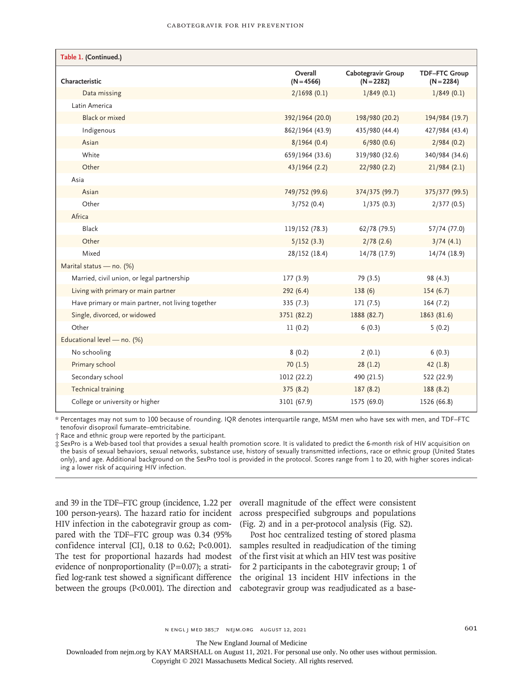| Table 1. (Continued.)                             |                         |                                    |                                      |
|---------------------------------------------------|-------------------------|------------------------------------|--------------------------------------|
| Characteristic                                    | Overall<br>$(N = 4566)$ | Cabotegravir Group<br>$(N = 2282)$ | <b>TDF-FTC Group</b><br>$(N = 2284)$ |
| Data missing                                      | 2/1698(0.1)             | 1/849(0.1)                         | 1/849(0.1)                           |
| Latin America                                     |                         |                                    |                                      |
| <b>Black or mixed</b>                             | 392/1964 (20.0)         | 198/980 (20.2)                     | 194/984 (19.7)                       |
| Indigenous                                        | 862/1964 (43.9)         | 435/980 (44.4)                     | 427/984 (43.4)                       |
| Asian                                             | 8/1964(0.4)             | 6/980(0.6)                         | 2/984(0.2)                           |
| White                                             | 659/1964 (33.6)         | 319/980 (32.6)                     | 340/984 (34.6)                       |
| Other                                             | 43/1964 (2.2)           | 22/980 (2.2)                       | 21/984(2.1)                          |
| Asia                                              |                         |                                    |                                      |
| Asian                                             | 749/752 (99.6)          | 374/375 (99.7)                     | 375/377 (99.5)                       |
| Other                                             | 3/752(0.4)              | 1/375(0.3)                         | 2/377(0.5)                           |
| Africa                                            |                         |                                    |                                      |
| Black                                             | 119/152 (78.3)          | 62/78 (79.5)                       | 57/74 (77.0)                         |
| Other                                             | 5/152(3.3)              | 2/78(2.6)                          | 3/74(4.1)                            |
| Mixed                                             | 28/152 (18.4)           | 14/78 (17.9)                       | 14/74 (18.9)                         |
| Marital status - no. (%)                          |                         |                                    |                                      |
| Married, civil union, or legal partnership        | 177(3.9)                | 79 (3.5)                           | 98 (4.3)                             |
| Living with primary or main partner               | 292(6.4)                | 138(6)                             | 154(6.7)                             |
| Have primary or main partner, not living together | 335(7.3)                | 171(7.5)                           | 164(7.2)                             |
| Single, divorced, or widowed                      | 3751 (82.2)             | 1888 (82.7)                        | 1863 (81.6)                          |
| Other                                             | 11(0.2)                 | 6(0.3)                             | 5(0.2)                               |
| Educational level - no. (%)                       |                         |                                    |                                      |
| No schooling                                      | 8(0.2)                  | 2(0.1)                             | 6(0.3)                               |
| Primary school                                    | 70(1.5)                 | 28(1.2)                            | 42(1.8)                              |
| Secondary school                                  | 1012 (22.2)             | 490 (21.5)                         | 522 (22.9)                           |
| Technical training                                | 375(8.2)                | 187(8.2)                           | 188(8.2)                             |
| College or university or higher                   | 3101 (67.9)             | 1575 (69.0)                        | 1526 (66.8)                          |

\* Percentages may not sum to 100 because of rounding. IQR denotes interquartile range, MSM men who have sex with men, and TDF–FTC tenofovir disoproxil fumarate–emtricitabine.

† Race and ethnic group were reported by the participant.

‡ SexPro is a Web-based tool that provides a sexual health promotion score. It is validated to predict the 6-month risk of HIV acquisition on the basis of sexual behaviors, sexual networks, substance use, history of sexually transmitted infections, race or ethnic group (United States only), and age. Additional background on the SexPro tool is provided in the protocol. Scores range from 1 to 20, with higher scores indicating a lower risk of acquiring HIV infection.

and 39 in the TDF–FTC group (incidence, 1.22 per 100 person-years). The hazard ratio for incident HIV infection in the cabotegravir group as compared with the TDF–FTC group was 0.34 (95% confidence interval [CI],  $0.18$  to  $0.62$ ; P<0.001). The test for proportional hazards had modest evidence of nonproportionality ( $P=0.07$ ); a stratified log-rank test showed a significant difference

overall magnitude of the effect were consistent across prespecified subgroups and populations (Fig. 2) and in a per-protocol analysis (Fig. S2).

between the groups (P<0.001). The direction and cabotegravir group was readjudicated as a base-Post hoc centralized testing of stored plasma samples resulted in readjudication of the timing of the first visit at which an HIV test was positive for 2 participants in the cabotegravir group; 1 of the original 13 incident HIV infections in the

The New England Journal of Medicine

Downloaded from nejm.org by KAY MARSHALL on August 11, 2021. For personal use only. No other uses without permission.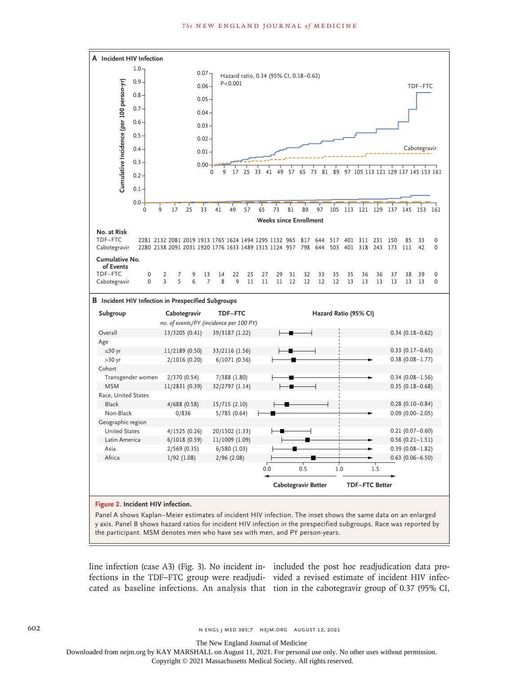

line infection (case A3) (Fig. 3). No incident in-included the post hoc readjudication data profections in the TDF–FTC group were readjudi-vided a revised estimate of incident HIV infeccated as baseline infections. An analysis that tion in the cabotegravir group of 0.37 (95% CI,

602 **n engl j med 385;7 NEIM.ORG AUGUST 12, 2021** 

The New England Journal of Medicine

Downloaded from nejm.org by KAY MARSHALL on August 11, 2021. For personal use only. No other uses without permission.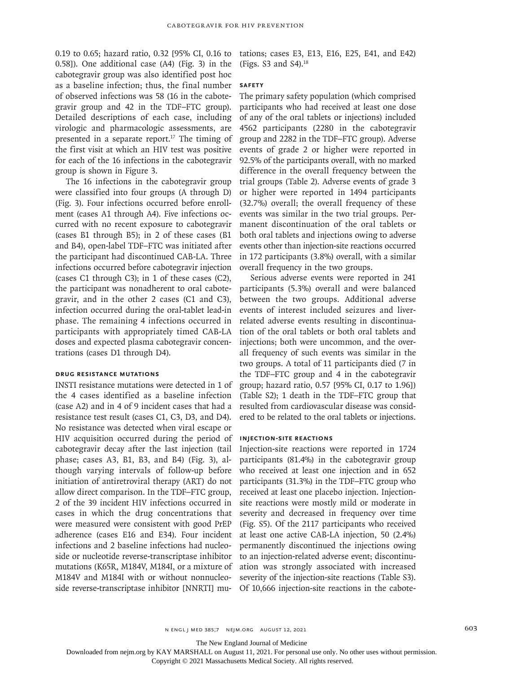0.19 to 0.65; hazard ratio, 0.32 [95% CI, 0.16 to 0.58]). One additional case (A4) (Fig. 3) in the cabotegravir group was also identified post hoc as a baseline infection; thus, the final number of observed infections was 58 (16 in the cabotegravir group and 42 in the TDF–FTC group). Detailed descriptions of each case, including virologic and pharmacologic assessments, are presented in a separate report.<sup>17</sup> The timing of the first visit at which an HIV test was positive for each of the 16 infections in the cabotegravir group is shown in Figure 3.

The 16 infections in the cabotegravir group were classified into four groups (A through D) (Fig. 3). Four infections occurred before enrollment (cases A1 through A4). Five infections occurred with no recent exposure to cabotegravir (cases B1 through B5); in 2 of these cases (B1 and B4), open-label TDF–FTC was initiated after the participant had discontinued CAB-LA. Three infections occurred before cabotegravir injection (cases C1 through C3); in 1 of these cases (C2), the participant was nonadherent to oral cabotegravir, and in the other 2 cases (C1 and C3), infection occurred during the oral-tablet lead-in phase. The remaining 4 infections occurred in participants with appropriately timed CAB-LA doses and expected plasma cabotegravir concentrations (cases D1 through D4).

# **Drug Resistance Mutations**

INSTI resistance mutations were detected in 1 of the 4 cases identified as a baseline infection (case A2) and in 4 of 9 incident cases that had a resistance test result (cases C1, C3, D3, and D4). No resistance was detected when viral escape or HIV acquisition occurred during the period of cabotegravir decay after the last injection (tail phase; cases A3, B1, B3, and B4) (Fig. 3), although varying intervals of follow-up before initiation of antiretroviral therapy (ART) do not allow direct comparison. In the TDF–FTC group, 2 of the 39 incident HIV infections occurred in cases in which the drug concentrations that were measured were consistent with good PrEP adherence (cases E16 and E34). Four incident infections and 2 baseline infections had nucleoside or nucleotide reverse-transcriptase inhibitor mutations (K65R, M184V, M184I, or a mixture of M184V and M184I with or without nonnucleoside reverse-transcriptase inhibitor [NNRTI] mu-

tations; cases E3, E13, E16, E25, E41, and E42) (Figs. S3 and S4).18

#### **Safety**

The primary safety population (which comprised participants who had received at least one dose of any of the oral tablets or injections) included 4562 participants (2280 in the cabotegravir group and 2282 in the TDF–FTC group). Adverse events of grade 2 or higher were reported in 92.5% of the participants overall, with no marked difference in the overall frequency between the trial groups (Table 2). Adverse events of grade 3 or higher were reported in 1494 participants (32.7%) overall; the overall frequency of these events was similar in the two trial groups. Permanent discontinuation of the oral tablets or both oral tablets and injections owing to adverse events other than injection-site reactions occurred in 172 participants (3.8%) overall, with a similar overall frequency in the two groups.

Serious adverse events were reported in 241 participants (5.3%) overall and were balanced between the two groups. Additional adverse events of interest included seizures and liverrelated adverse events resulting in discontinuation of the oral tablets or both oral tablets and injections; both were uncommon, and the overall frequency of such events was similar in the two groups. A total of 11 participants died (7 in the TDF–FTC group and 4 in the cabotegravir group; hazard ratio, 0.57 [95% CI, 0.17 to 1.96]) (Table S2); 1 death in the TDF–FTC group that resulted from cardiovascular disease was considered to be related to the oral tablets or injections.

#### **Injection-Site Reactions**

Injection-site reactions were reported in 1724 participants (81.4%) in the cabotegravir group who received at least one injection and in 652 participants (31.3%) in the TDF–FTC group who received at least one placebo injection. Injectionsite reactions were mostly mild or moderate in severity and decreased in frequency over time (Fig. S5). Of the 2117 participants who received at least one active CAB-LA injection, 50 (2.4%) permanently discontinued the injections owing to an injection-related adverse event; discontinuation was strongly associated with increased severity of the injection-site reactions (Table S3). Of 10,666 injection-site reactions in the cabote-

n engl j med 385;7 nejm.org August 12, 2021 603

The New England Journal of Medicine

Downloaded from nejm.org by KAY MARSHALL on August 11, 2021. For personal use only. No other uses without permission.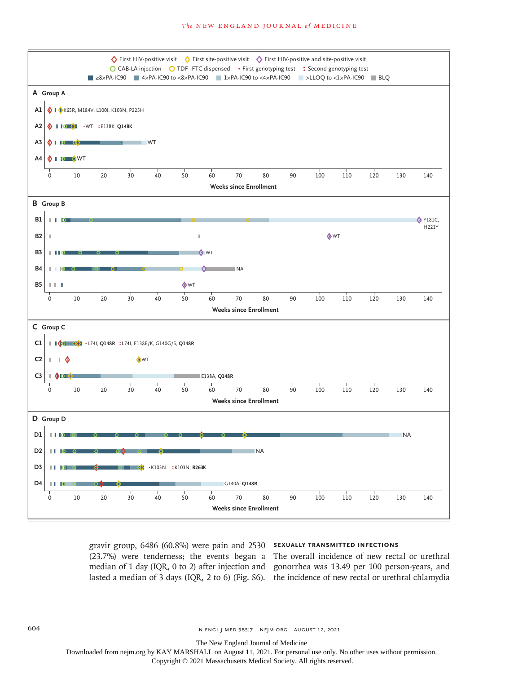

gravir group, 6486 (60.8%) were pain and 2530 (23.7%) were tenderness; the events began a median of 1 day (IQR, 0 to 2) after injection and

#### **Sexually Transmitted Infections**

lasted a median of 3 days (IQR, 2 to 6) (Fig. S6). the incidence of new rectal or urethral chlamydia The overall incidence of new rectal or urethral gonorrhea was 13.49 per 100 person-years, and

604 **n ENGL j MED 385;7 NEIM.ORG AUGUST 12, 2021** 

The New England Journal of Medicine

Downloaded from nejm.org by KAY MARSHALL on August 11, 2021. For personal use only. No other uses without permission.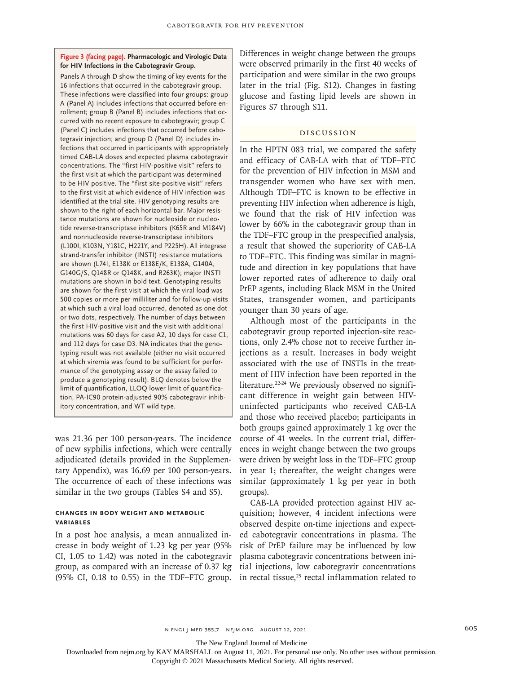### **Figure 3 (facing page). Pharmacologic and Virologic Data for HIV Infections in the Cabotegravir Group.**

Panels A through D show the timing of key events for the 16 infections that occurred in the cabotegravir group. These infections were classified into four groups: group A (Panel A) includes infections that occurred before enrollment; group B (Panel B) includes infections that occurred with no recent exposure to cabotegravir; group C (Panel C) includes infections that occurred before cabotegravir injection; and group D (Panel D) includes in‑ fections that occurred in participants with appropriately timed CAB-LA doses and expected plasma cabotegravir concentrations. The "first HIV-positive visit" refers to the first visit at which the participant was determined to be HIV positive. The "first site-positive visit" refers to the first visit at which evidence of HIV infection was identified at the trial site. HIV genotyping results are shown to the right of each horizontal bar. Major resistance mutations are shown for nucleoside or nucleotide reverse-transcriptase inhibitors (K65R and M184V) and nonnucleoside reverse-transcriptase inhibitors (L100I, K103N, Y181C, H221Y, and P225H). All integrase strand-transfer inhibitor (INSTI) resistance mutations are shown (L74I, E138K or E138E/K, E138A, G140A, G140G/S, Q148R or Q148K, and R263K); major INSTI mutations are shown in bold text. Genotyping results are shown for the first visit at which the viral load was 500 copies or more per milliliter and for follow-up visits at which such a viral load occurred, denoted as one dot or two dots, respectively. The number of days between the first HIV-positive visit and the visit with additional mutations was 60 days for case A2, 10 days for case C1, and 112 days for case D3. NA indicates that the genotyping result was not available (either no visit occurred at which viremia was found to be sufficient for performance of the genotyping assay or the assay failed to produce a genotyping result). BLQ denotes below the limit of quantification, LLOQ lower limit of quantification, PA-IC90 protein-adjusted 90% cabotegravir inhibitory concentration, and WT wild type.

was 21.36 per 100 person-years. The incidence of new syphilis infections, which were centrally adjudicated (details provided in the Supplementary Appendix), was 16.69 per 100 person-years. The occurrence of each of these infections was similar in the two groups (Tables S4 and S5).

# **Changes in Body Weight and Metabolic Variables**

In a post hoc analysis, a mean annualized increase in body weight of 1.23 kg per year (95% CI, 1.05 to 1.42) was noted in the cabotegravir group, as compared with an increase of 0.37 kg (95% CI, 0.18 to 0.55) in the TDF–FTC group. Differences in weight change between the groups were observed primarily in the first 40 weeks of participation and were similar in the two groups later in the trial (Fig. S12). Changes in fasting glucose and fasting lipid levels are shown in Figures S7 through S11.

# Discussion

In the HPTN 083 trial, we compared the safety and efficacy of CAB-LA with that of TDF–FTC for the prevention of HIV infection in MSM and transgender women who have sex with men. Although TDF–FTC is known to be effective in preventing HIV infection when adherence is high, we found that the risk of HIV infection was lower by 66% in the cabotegravir group than in the TDF–FTC group in the prespecified analysis, a result that showed the superiority of CAB-LA to TDF–FTC. This finding was similar in magnitude and direction in key populations that have lower reported rates of adherence to daily oral PrEP agents, including Black MSM in the United States, transgender women, and participants younger than 30 years of age.

Although most of the participants in the cabotegravir group reported injection-site reactions, only 2.4% chose not to receive further injections as a result. Increases in body weight associated with the use of INSTIs in the treatment of HIV infection have been reported in the literature.<sup>22-24</sup> We previously observed no significant difference in weight gain between HIVuninfected participants who received CAB-LA and those who received placebo; participants in both groups gained approximately 1 kg over the course of 41 weeks. In the current trial, differences in weight change between the two groups were driven by weight loss in the TDF–FTC group in year 1; thereafter, the weight changes were similar (approximately 1 kg per year in both groups).

CAB-LA provided protection against HIV acquisition; however, 4 incident infections were observed despite on-time injections and expected cabotegravir concentrations in plasma. The risk of PrEP failure may be influenced by low plasma cabotegravir concentrations between initial injections, low cabotegravir concentrations in rectal tissue, $25$  rectal inflammation related to

The New England Journal of Medicine

Downloaded from nejm.org by KAY MARSHALL on August 11, 2021. For personal use only. No other uses without permission.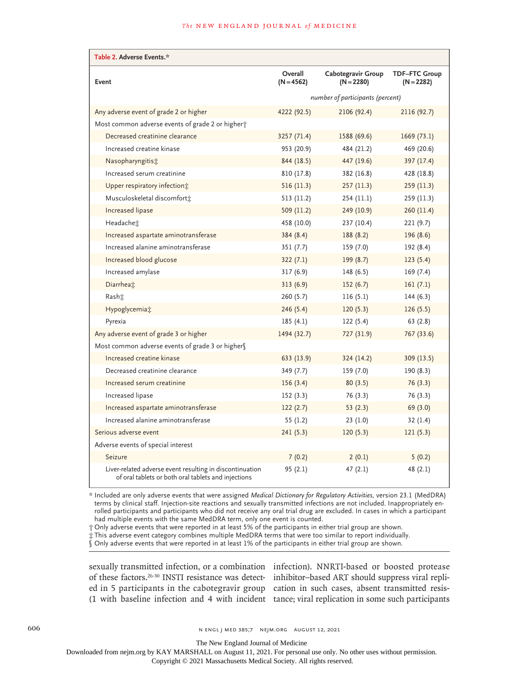| Table 2. Adverse Events.*                                                                                       |                                  |                                    |                                      |  |
|-----------------------------------------------------------------------------------------------------------------|----------------------------------|------------------------------------|--------------------------------------|--|
| Event                                                                                                           | Overall<br>$(N = 4562)$          | Cabotegravir Group<br>$(N = 2280)$ | <b>TDF-FTC Group</b><br>$(N = 2282)$ |  |
|                                                                                                                 | number of participants (percent) |                                    |                                      |  |
| Any adverse event of grade 2 or higher                                                                          | 4222 (92.5)                      | 2106 (92.4)                        | 2116 (92.7)                          |  |
| Most common adverse events of grade 2 or higher;                                                                |                                  |                                    |                                      |  |
| Decreased creatinine clearance                                                                                  | 3257 (71.4)                      | 1588 (69.6)                        | 1669(73.1)                           |  |
| Increased creatine kinase                                                                                       | 953 (20.9)                       | 484 (21.2)                         | 469 (20.6)                           |  |
| Nasopharyngitist                                                                                                | 844 (18.5)                       | 447 (19.6)                         | 397 (17.4)                           |  |
| Increased serum creatinine                                                                                      | 810 (17.8)                       | 382 (16.8)                         | 428 (18.8)                           |  |
| Upper respiratory infection;                                                                                    | 516(11.3)                        | 257 (11.3)                         | 259(11.3)                            |  |
| Musculoskeletal discomfort <sup>*</sup>                                                                         | 513 (11.2)                       | 254 (11.1)                         | 259(11.3)                            |  |
| Increased lipase                                                                                                | 509(11.2)                        | 249 (10.9)                         | 260 (11.4)                           |  |
| Headachet                                                                                                       | 458 (10.0)                       | 237 (10.4)                         | 221(9.7)                             |  |
| Increased aspartate aminotransferase                                                                            | 384(8.4)                         | 188 (8.2)                          | 196(8.6)                             |  |
| Increased alanine aminotransferase                                                                              | 351(7.7)                         | 159 (7.0)                          | 192 (8.4)                            |  |
| Increased blood glucose                                                                                         | 322(7.1)                         | 199 (8.7)                          | 123(5.4)                             |  |
| Increased amylase                                                                                               | 317(6.9)                         | 148(6.5)                           | 169(7.4)                             |  |
| Diarrhea $\ddagger$                                                                                             | 313(6.9)                         | 152(6.7)                           | 161(7.1)                             |  |
| Rasht                                                                                                           | 260(5.7)                         | 116(5.1)                           | 144 (6.3)                            |  |
| Hypoglycemia:                                                                                                   | 246(5.4)                         | 120(5.3)                           | 126(5.5)                             |  |
| Pyrexia                                                                                                         | 185(4.1)                         | 122(5.4)                           | 63(2.8)                              |  |
| Any adverse event of grade 3 or higher                                                                          | 1494 (32.7)                      | 727 (31.9)                         | 767 (33.6)                           |  |
| Most common adverse events of grade 3 or highers                                                                |                                  |                                    |                                      |  |
| Increased creatine kinase                                                                                       | 633 (13.9)                       | 324 (14.2)                         | 309 (13.5)                           |  |
| Decreased creatinine clearance                                                                                  | 349 (7.7)                        | 159 (7.0)                          | 190 (8.3)                            |  |
| Increased serum creatinine                                                                                      | 156(3.4)                         | 80(3.5)                            | 76(3.3)                              |  |
| Increased lipase                                                                                                | 152(3.3)                         | 76 (3.3)                           | 76 (3.3)                             |  |
| Increased aspartate aminotransferase                                                                            | 122(2.7)                         | 53(2.3)                            | 69 (3.0)                             |  |
| Increased alanine aminotransferase                                                                              | 55(1.2)                          | 23(1.0)                            | 32(1.4)                              |  |
| Serious adverse event                                                                                           | 241(5.3)                         | 120(5.3)                           | 121(5.3)                             |  |
| Adverse events of special interest                                                                              |                                  |                                    |                                      |  |
| Seizure                                                                                                         | 7(0.2)                           | 2(0.1)                             | 5(0.2)                               |  |
| Liver-related adverse event resulting in discontinuation<br>of oral tablets or both oral tablets and injections | 95(2.1)                          | 47(2.1)                            | 48(2.1)                              |  |

\* Included are only adverse events that were assigned *Medical Dictionary for Regulatory Activities*, version 23.1 (MedDRA) terms by clinical staff. Injection-site reactions and sexually transmitted infections are not included. Inappropriately enrolled participants and participants who did not receive any oral trial drug are excluded. In cases in which a participant had multiple events with the same MedDRA term, only one event is counted.

† Only adverse events that were reported in at least 5% of the participants in either trial group are shown.

‡ This adverse event category combines multiple MedDRA terms that were too similar to report individually.

§ Only adverse events that were reported in at least 1% of the participants in either trial group are shown.

sexually transmitted infection, or a combination infection). NNRTI-based or boosted protease of these factors.<sup>26-30</sup> INSTI resistance was detect- inhibitor–based ART should suppress viral replied in 5 participants in the cabotegravir group cation in such cases, absent transmitted resis-(1 with baseline infection and 4 with incident tance; viral replication in some such participants

606 **606** n engl j med 385;7 nejm.org August 12, 2021

The New England Journal of Medicine

Downloaded from nejm.org by KAY MARSHALL on August 11, 2021. For personal use only. No other uses without permission.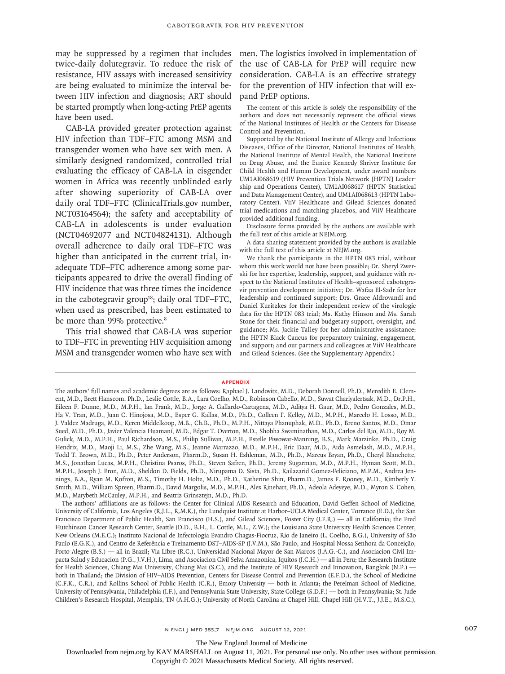may be suppressed by a regimen that includes men. The logistics involved in implementation of twice-daily dolutegravir. To reduce the risk of the use of CAB-LA for PrEP will require new resistance, HIV assays with increased sensitivity are being evaluated to minimize the interval between HIV infection and diagnosis; ART should be started promptly when long-acting PrEP agents have been used.

CAB-LA provided greater protection against HIV infection than TDF–FTC among MSM and transgender women who have sex with men. A similarly designed randomized, controlled trial evaluating the efficacy of CAB-LA in cisgender women in Africa was recently unblinded early after showing superiority of CAB-LA over daily oral TDF–FTC (ClinicalTrials.gov number, NCT03164564); the safety and acceptability of CAB-LA in adolescents is under evaluation (NCT04692077 and NCT04824131). Although overall adherence to daily oral TDF–FTC was higher than anticipated in the current trial, inadequate TDF–FTC adherence among some participants appeared to drive the overall finding of HIV incidence that was three times the incidence in the cabotegravir group<sup>18</sup>; daily oral TDF–FTC, when used as prescribed, has been estimated to be more than 99% protective.<sup>8</sup>

This trial showed that CAB-LA was superior to TDF–FTC in preventing HIV acquisition among MSM and transgender women who have sex with

consideration. CAB-LA is an effective strategy for the prevention of HIV infection that will expand PrEP options.

The content of this article is solely the responsibility of the authors and does not necessarily represent the official views of the National Institutes of Health or the Centers for Disease Control and Prevention.

Supported by the National Institute of Allergy and Infectious Diseases, Office of the Director, National Institutes of Health, the National Institute of Mental Health, the National Institute on Drug Abuse, and the Eunice Kennedy Shriver Institute for Child Health and Human Development, under award numbers UM1AI068619 (HIV Prevention Trials Network [HPTN] Leadership and Operations Center), UM1AI068617 (HPTN Statistical and Data Management Center), and UM1AI068613 (HPTN Laboratory Center). ViiV Healthcare and Gilead Sciences donated trial medications and matching placebos, and ViiV Healthcare provided additional funding.

Disclosure forms provided by the authors are available with the full text of this article at NEJM.org.

A data sharing statement provided by the authors is available with the full text of this article at NEJM.org.

We thank the participants in the HPTN 083 trial, without whom this work would not have been possible; Dr. Sheryl Zwerski for her expertise, leadership, support, and guidance with respect to the National Institutes of Health–sponsored cabotegravir prevention development initiative; Dr. Wafaa El-Sadr for her leadership and continued support; Drs. Grace Aldrovandi and Daniel Kuritzkes for their independent review of the virologic data for the HPTN 083 trial; Ms. Kathy Hinson and Ms. Sarah Stone for their financial and budgetary support, oversight, and guidance; Ms. Jackie Talley for her administrative assistance; the HPTN Black Caucus for preparatory training, engagement, and support; and our partners and colleagues at ViiV Healthcare and Gilead Sciences. (See the Supplementary Appendix.)

#### **Appendix**

The New England Journal of Medicine

Downloaded from nejm.org by KAY MARSHALL on August 11, 2021. For personal use only. No other uses without permission.

The authors' full names and academic degrees are as follows: Raphael J. Landovitz, M.D., Deborah Donnell, Ph.D., Meredith E. Clement, M.D., Brett Hanscom, Ph.D., Leslie Cottle, B.A., Lara Coelho, M.D., Robinson Cabello, M.D., Suwat Chariyalertsak, M.D., Dr.P.H., Eileen F. Dunne, M.D., M.P.H., Ian Frank, M.D., Jorge A. Gallardo-Cartagena, M.D., Aditya H. Gaur, M.D., Pedro Gonzales, M.D., Ha V. Tran, M.D., Juan C. Hinojosa, M.D., Esper G. Kallas, M.D., Ph.D., Colleen F. Kelley, M.D., M.P.H., Marcelo H. Losso, M.D., J. Valdez Madruga, M.D., Keren Middelkoop, M.B., Ch.B., Ph.D., M.P.H., Nittaya Phanuphak, M.D., Ph.D., Breno Santos, M.D., Omar Sued, M.D., Ph.D., Javier Valencia Huamaní, M.D., Edgar T. Overton, M.D., Shobha Swaminathan, M.D., Carlos del Rio, M.D., Roy M. Gulick, M.D., M.P.H., Paul Richardson, M.S., Philip Sullivan, M.P.H., Estelle Piwowar-Manning, B.S., Mark Marzinke, Ph.D., Craig Hendrix, M.D., Maoji Li, M.S., Zhe Wang, M.S., Jeanne Marrazzo, M.D., M.P.H., Eric Daar, M.D., Aida Asmelash, M.D., M.P.H., Todd T. Brown, M.D., Ph.D., Peter Anderson, Pharm.D., Susan H. Eshleman, M.D., Ph.D., Marcus Bryan, Ph.D., Cheryl Blanchette, M.S., Jonathan Lucas, M.P.H., Christina Psaros, Ph.D., Steven Safren, Ph.D., Jeremy Sugarman, M.D., M.P.H., Hyman Scott, M.D., M.P.H., Joseph J. Eron, M.D., Sheldon D. Fields, Ph.D., Nirupama D. Sista, Ph.D., Kailazarid Gomez-Feliciano, M.P.M., Andrea Jennings, B.A., Ryan M. Kofron, M.S., Timothy H. Holtz, M.D., Ph.D., Katherine Shin, Pharm.D., James F. Rooney, M.D., Kimberly Y. Smith, M.D., William Spreen, Pharm.D., David Margolis, M.D., M.P.H., Alex Rinehart, Ph.D., Adeola Adeyeye, M.D., Myron S. Cohen, M.D., Marybeth McCauley, M.P.H., and Beatriz Grinsztejn, M.D., Ph.D.

The authors' affiliations are as follows: the Center for Clinical AIDS Research and Education, David Geffen School of Medicine, University of California, Los Angeles (R.J.L., R.M.K.), the Lundquist Institute at Harbor–UCLA Medical Center, Torrance (E.D.), the San Francisco Department of Public Health, San Francisco (H.S.), and Gilead Sciences, Foster City (J.F.R.) — all in California; the Fred Hutchinson Cancer Research Center, Seattle (D.D., B.H., L. Cottle, M.L., Z.W.); the Louisiana State University Health Sciences Center, New Orleans (M.E.C.); Instituto Nacional de Infectologia Evandro Chagas-Fiocruz, Rio de Janeiro (L. Coelho, B.G.), University of São Paulo (E.G.K.), and Centro de Referência e Treinamento DST–AIDS-SP (J.V.M.), São Paulo, and Hospital Nossa Senhora da Conceição, Porto Alegre (B.S.) — all in Brazil; Via Libre (R.C.), Universidad Nacional Mayor de San Marcos (J.A.G.-C.), and Asociacion Civil Impacta Salud y Educacion (P.G., J.V.H.), Lima, and Asociacion Civil Selva Amazonica, Iquitos (J.C.H.) — all in Peru; the Research Institute for Health Sciences, Chiang Mai University, Chiang Mai (S.C.), and the Institute of HIV Research and Innovation, Bangkok (N.P.) both in Thailand; the Division of HIV–AIDS Prevention, Centers for Disease Control and Prevention (E.F.D.), the School of Medicine (C.F.K., C.R.), and Rollins School of Public Health (C.R.), Emory University — both in Atlanta; the Perelman School of Medicine, University of Pennsylvania, Philadelphia (I.F.), and Pennsylvania State University, State College (S.D.F.) — both in Pennsylvania; St. Jude Children's Research Hospital, Memphis, TN (A.H.G.); University of North Carolina at Chapel Hill, Chapel Hill (H.V.T., J.J.E., M.S.C.),